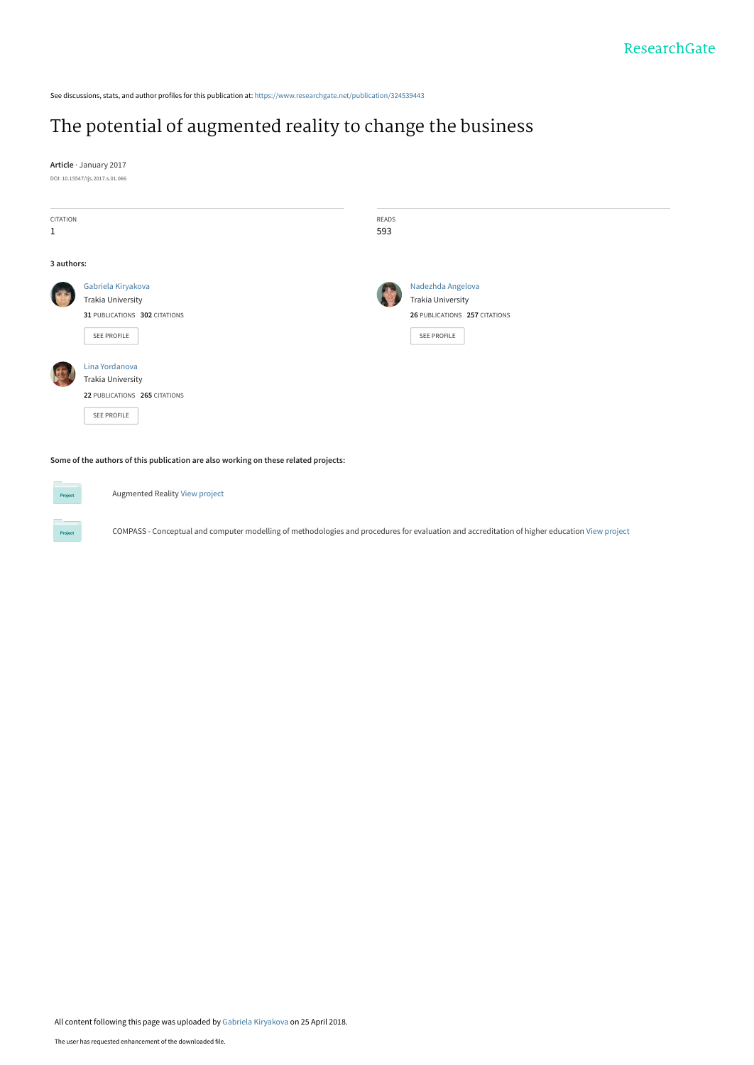See discussions, stats, and author profiles for this publication at: [https://www.researchgate.net/publication/324539443](https://www.researchgate.net/publication/324539443_The_potential_of_augmented_reality_to_change_the_business?enrichId=rgreq-f3bc9aafb65d2f9431fc482bb8fcfb54-XXX&enrichSource=Y292ZXJQYWdlOzMyNDUzOTQ0MztBUzo2MTkyNDkxMTg3NDA0ODFAMTUyNDY1MTkwMzQ5Ng%3D%3D&el=1_x_2&_esc=publicationCoverPdf)

# [The potential of augmented reality to change the business](https://www.researchgate.net/publication/324539443_The_potential_of_augmented_reality_to_change_the_business?enrichId=rgreq-f3bc9aafb65d2f9431fc482bb8fcfb54-XXX&enrichSource=Y292ZXJQYWdlOzMyNDUzOTQ0MztBUzo2MTkyNDkxMTg3NDA0ODFAMTUyNDY1MTkwMzQ5Ng%3D%3D&el=1_x_3&_esc=publicationCoverPdf)

**Article** · January 2017 DOI: 10.15547/tjs.2017.s.01.066

| CITATION<br>$\,1$ |                                                                                            | READS<br>593 |                                                                                               |
|-------------------|--------------------------------------------------------------------------------------------|--------------|-----------------------------------------------------------------------------------------------|
| 3 authors:        |                                                                                            |              |                                                                                               |
|                   | Gabriela Kiryakova<br>Trakia University<br>31 PUBLICATIONS 302 CITATIONS<br>SEE PROFILE    |              | Nadezhda Angelova<br><b>Trakia University</b><br>26 PUBLICATIONS 257 CITATIONS<br>SEE PROFILE |
|                   | Lina Yordanova<br><b>Trakia University</b><br>22 PUBLICATIONS 265 CITATIONS<br>SEE PROFILE |              |                                                                                               |

**Some of the authors of this publication are also working on these related projects:**

Augmented Reality [View project](https://www.researchgate.net/project/Augmented-Reality-85?enrichId=rgreq-f3bc9aafb65d2f9431fc482bb8fcfb54-XXX&enrichSource=Y292ZXJQYWdlOzMyNDUzOTQ0MztBUzo2MTkyNDkxMTg3NDA0ODFAMTUyNDY1MTkwMzQ5Ng%3D%3D&el=1_x_9&_esc=publicationCoverPdf) Project COMPASS - Conceptual and computer modelling of methodologies and procedures for evaluation and accreditation of higher education [View project](https://www.researchgate.net/project/COMPASS-Conceptual-and-computer-modelling-of-methodologies-and-procedures-for-evaluation-and-accreditation-of-higher-education?enrichId=rgreq-f3bc9aafb65d2f9431fc482bb8fcfb54-XXX&enrichSource=Y292ZXJQYWdlOzMyNDUzOTQ0MztBUzo2MTkyNDkxMTg3NDA0ODFAMTUyNDY1MTkwMzQ5Ng%3D%3D&el=1_x_9&_esc=publicationCoverPdf)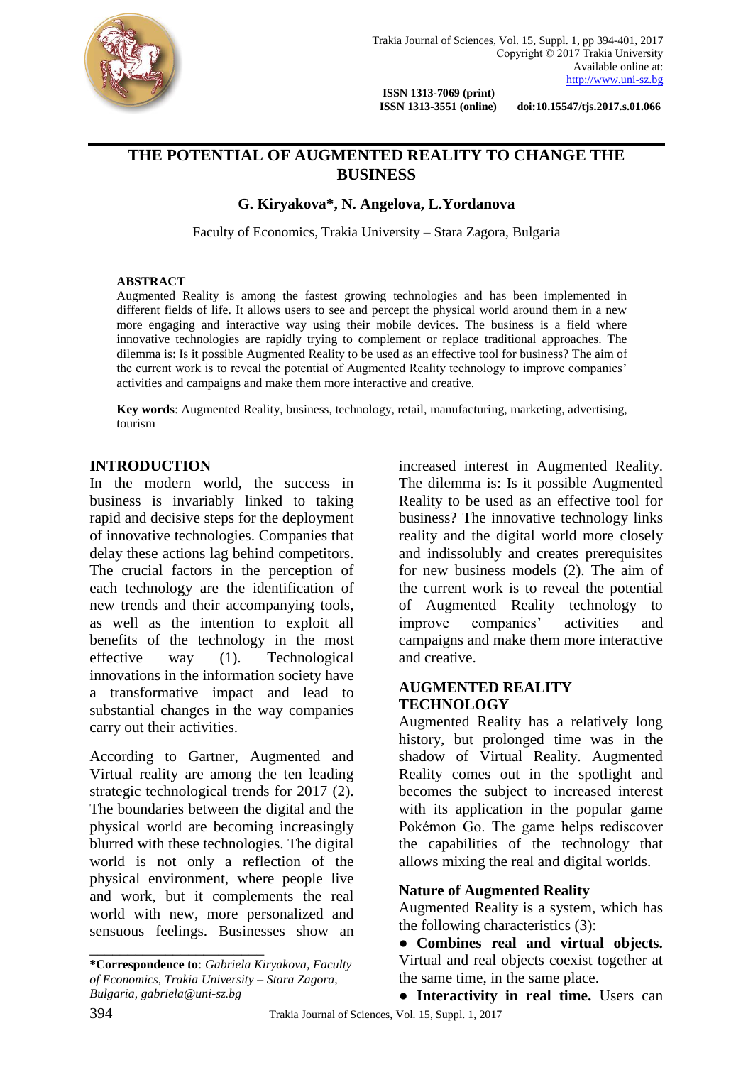

 **ISSN 1313-3551 (online) doi:10.15547/tjs.2017.s.01.066**

# **THE POTENTIAL OF AUGMENTED REALITY TO CHANGE THE BUSINESS**

**G. Kiryakova\*, N. Angelova, L.Yordanova**

Faculty of Economics, Trakia University – Stara Zagora, Bulgaria

### **ABSTRACT**

Augmented Reality is among the fastest growing technologies and has been implemented in different fields of life. It allows users to see and percept the physical world around them in a new more engaging and interactive way using their mobile devices. The business is a field where innovative technologies are rapidly trying to complement or replace traditional approaches. The dilemma is: Is it possible Augmented Reality to be used as an effective tool for business? The aim of the current work is to reveal the potential of Augmented Reality technology to improve companies' activities and campaigns and make them more interactive and creative.

**Key words**: Augmented Reality, business, technology, retail, manufacturing, marketing, advertising, tourism

## **INTRODUCTION**

In the modern world, the success in business is invariably linked to taking rapid and decisive steps for the deployment of innovative technologies. Companies that delay these actions lag behind competitors. The crucial factors in the perception of each technology are the identification of new trends and their accompanying tools, as well as the intention to exploit all benefits of the technology in the most effective way (1). Technological innovations in the information society have a transformative impact and lead to substantial changes in the way companies carry out their activities.

According to Gartner, Augmented and Virtual reality are among the ten leading strategic technological trends for 2017 (2). The boundaries between the digital and the physical world are becoming increasingly blurred with these technologies. The digital world is not only a reflection of the physical environment, where people live and work, but it complements the real world with new, more personalized and sensuous feelings. Businesses show an

**\*Correspondence to**: *Gabriela Kiryakova, Faculty of Economics, Trakia University – Stara Zagora, Bulgaria[, gabriela@uni-sz.bg](mailto:gabriela@uni-sz.bg)*

\_\_\_\_\_\_\_\_\_\_\_\_\_\_\_\_\_\_\_\_\_\_\_

increased interest in Augmented Reality. The dilemma is: Is it possible Augmented Reality to be used as an effective tool for business? The innovative technology links reality and the digital world more closely and indissolubly and creates prerequisites for new business models (2). The aim of the current work is to reveal the potential of Augmented Reality technology to improve companies' activities and campaigns and make them more interactive and creative.

## **AUGMENTED REALITY TECHNOLOGY**

Augmented Reality has a relatively long history, but prolonged time was in the shadow of Virtual Reality. Augmented Reality comes out in the spotlight and becomes the subject to increased interest with its application in the popular game Pokémon Go. The game helps rediscover the capabilities of the technology that allows mixing the real and digital worlds.

### **Nature of Augmented Reality**

Augmented Reality is a system, which has the following characteristics (3):

● **Combines real and virtual objects.**  Virtual and real objects coexist together at the same time, in the same place.

● **Interactivity in real time.** Users can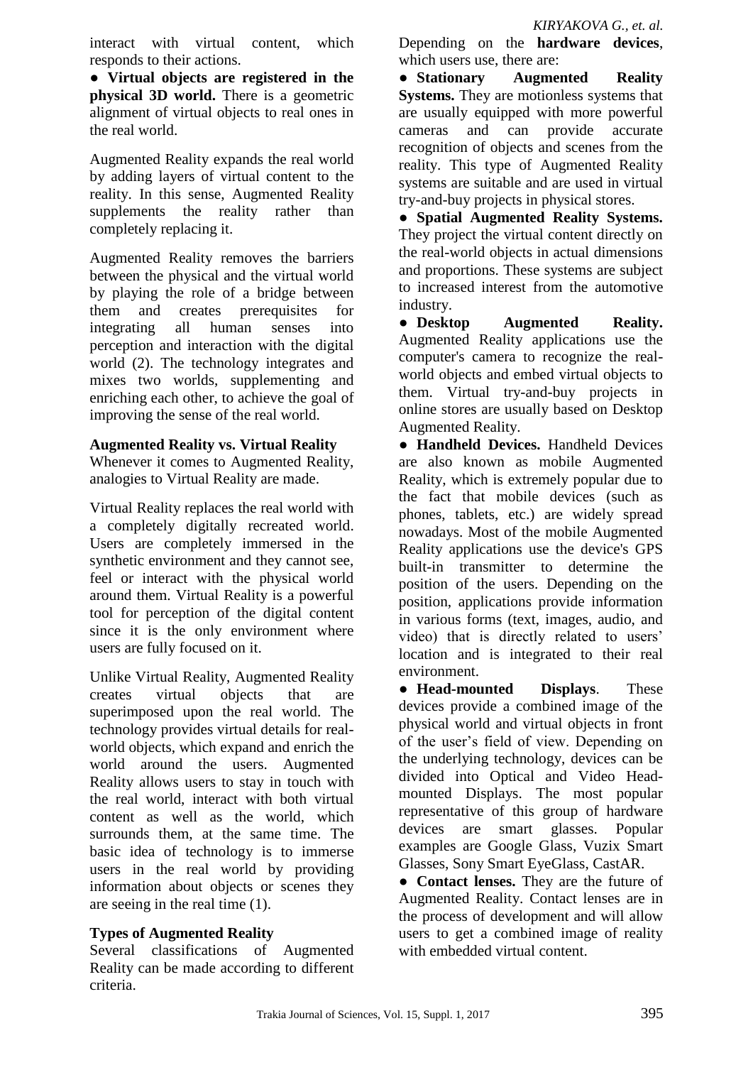interact with virtual content, which responds to their actions.

● **Virtual objects are registered in the physical 3D world.** There is a geometric alignment of virtual objects to real ones in the real world.

Augmented Reality expands the real world by adding layers of virtual content to the reality. In this sense, Augmented Reality supplements the reality rather than completely replacing it.

Augmented Reality removes the barriers between the physical and the virtual world by playing the role of a bridge between them and creates prerequisites for integrating all human senses into perception and interaction with the digital world (2). The technology integrates and mixes two worlds, supplementing and enriching each other, to achieve the goal of improving the sense of the real world.

# **Augmented Reality vs. Virtual Reality**

Whenever it comes to Augmented Reality, analogies to Virtual Reality are made.

Virtual Reality replaces the real world with a completely digitally recreated world. Users are completely immersed in the synthetic environment and they cannot see, feel or interact with the physical world around them. Virtual Reality is a powerful tool for perception of the digital content since it is the only environment where users are fully focused on it.

Unlike Virtual Reality, Augmented Reality creates virtual objects that are superimposed upon the real world. The technology provides virtual details for realworld objects, which expand and enrich the world around the users. Augmented Reality allows users to stay in touch with the real world, interact with both virtual content as well as the world, which surrounds them, at the same time. The basic idea of technology is to immerse users in the real world by providing information about objects or scenes they are seeing in the real time (1).

# **Types of Augmented Reality**

Several classifications of Augmented Reality can be made according to different criteria.

Depending on the **hardware devices**, which users use, there are:

● **Stationary Augmented Reality Systems.** They are motionless systems that are usually equipped with more powerful cameras and can provide accurate recognition of objects and scenes from the reality. This type of Augmented Reality systems are suitable and are used in virtual try-and-buy projects in physical stores.

● **Spatial Augmented Reality Systems.**  They project the virtual content directly on the real-world objects in actual dimensions and proportions. These systems are subject to increased interest from the automotive industry.

● **Desktop Augmented Reality.**  Augmented Reality applications use the computer's camera to recognize the realworld objects and embed virtual objects to them. Virtual try-and-buy projects in online stores are usually based on Desktop Augmented Reality.

● **Handheld Devices.** Handheld Devices are also known as mobile Augmented Reality, which is extremely popular due to the fact that mobile devices (such as phones, tablets, etc.) are widely spread nowadays. Most of the mobile Augmented Reality applications use the device's GPS built-in transmitter to determine the position of the users. Depending on the position, applications provide information in various forms (text, images, audio, and video) that is directly related to users' location and is integrated to their real environment.

● **Head-mounted Displays**. These devices provide a combined image of the physical world and virtual objects in front of the user's field of view. Depending on the underlying technology, devices can be divided into Optical and Video Headmounted Displays. The most popular representative of this group of hardware devices are smart glasses. Popular examples are Google Glass, Vuzix Smart Glasses, Sony Smart EyeGlass, CastAR.

● **Contact lenses.** They are the future of Augmented Reality. Contact lenses are in the process of development and will allow users to get a combined image of reality with embedded virtual content.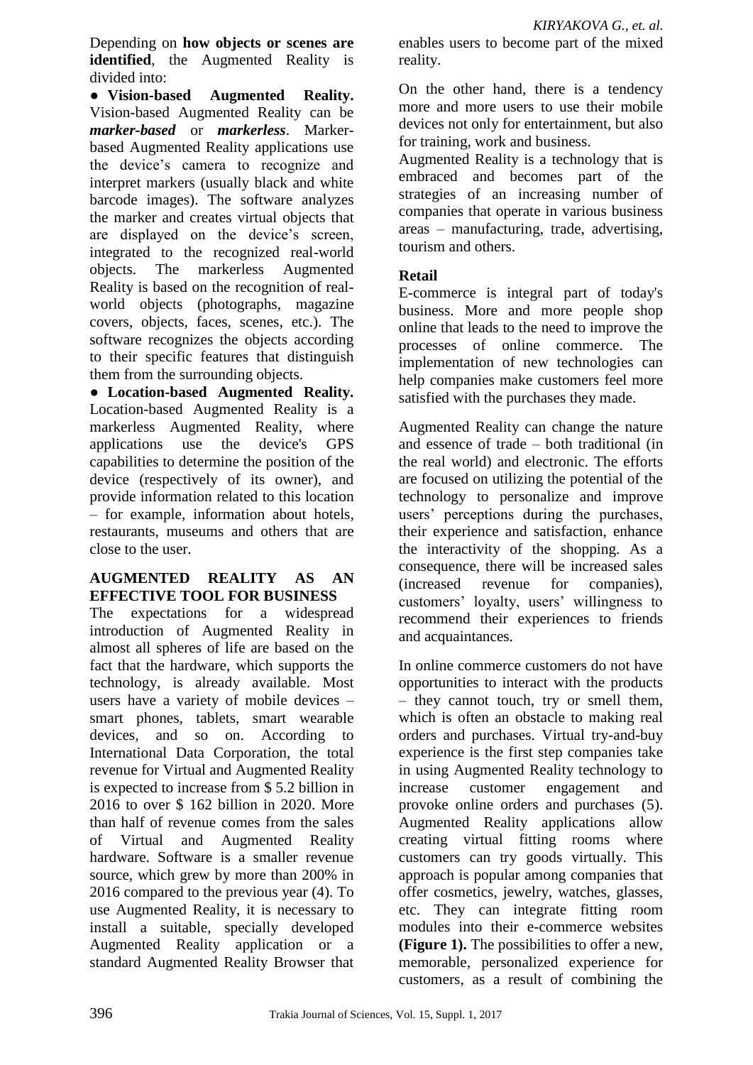Depending on **how objects or scenes are identified**, the Augmented Reality is divided into:

● **Vision-based Augmented Reality.**  Vision-based Augmented Reality can be *marker-based* or *markerless*. Markerbased Augmented Reality applications use the device's camera to recognize and interpret markers (usually black and white barcode images). The software analyzes the marker and creates virtual objects that are displayed on the device's screen, integrated to the recognized real-world objects. The markerless Augmented Reality is based on the recognition of realworld objects (photographs, magazine covers, objects, faces, scenes, etc.). The software recognizes the objects according to their specific features that distinguish them from the surrounding objects.

● **Location-based Augmented Reality.** Location-based Augmented Reality is a markerless Augmented Reality, where applications use the device's GPS capabilities to determine the position of the device (respectively of its owner), and provide information related to this location – for example, information about hotels, restaurants, museums and others that are close to the user.

# **AUGMENTED REALITY AS AN EFFECTIVE TOOL FOR BUSINESS**

The expectations for a widespread introduction of Augmented Reality in almost all spheres of life are based on the fact that the hardware, which supports the technology, is already available. Most users have a variety of mobile devices – smart phones, tablets, smart wearable devices, and so on. According to International Data Corporation, the total revenue for Virtual and Augmented Reality is expected to increase from \$ 5.2 billion in 2016 to over \$ 162 billion in 2020. More than half of revenue comes from the sales of Virtual and Augmented Reality hardware. Software is a smaller revenue source, which grew by more than 200% in 2016 compared to the previous year (4). To use Augmented Reality, it is necessary to install a suitable, specially developed Augmented Reality application or a standard Augmented Reality Browser that

enables users to become part of the mixed reality.

On the other hand, there is a tendency more and more users to use their mobile devices not only for entertainment, but also for training, work and business.

Augmented Reality is a technology that is embraced and becomes part of the strategies of an increasing number of companies that operate in various business areas – manufacturing, trade, advertising, tourism and others.

# **Retail**

E-commerce is integral part of today's business. More and more people shop online that leads to the need to improve the processes of online commerce. The implementation of new technologies can help companies make customers feel more satisfied with the purchases they made.

Augmented Reality can change the nature and essence of trade – both traditional (in the real world) and electronic. The efforts are focused on utilizing the potential of the technology to personalize and improve users' perceptions during the purchases, their experience and satisfaction, enhance the interactivity of the shopping. As a consequence, there will be increased sales (increased revenue for companies), customers' loyalty, users' willingness to recommend their experiences to friends and acquaintances.

In online commerce customers do not have opportunities to interact with the products – they cannot touch, try or smell them, which is often an obstacle to making real orders and purchases. Virtual try-and-buy experience is the first step companies take in using Augmented Reality technology to increase customer engagement and provoke online orders and purchases (5). Augmented Reality applications allow creating virtual fitting rooms where customers can try goods virtually. This approach is popular among companies that offer cosmetics, jewelry, watches, glasses, etc. They can integrate fitting room modules into their e-commerce websites **(Figure 1).** The possibilities to offer a new, memorable, personalized experience for customers, as a result of combining the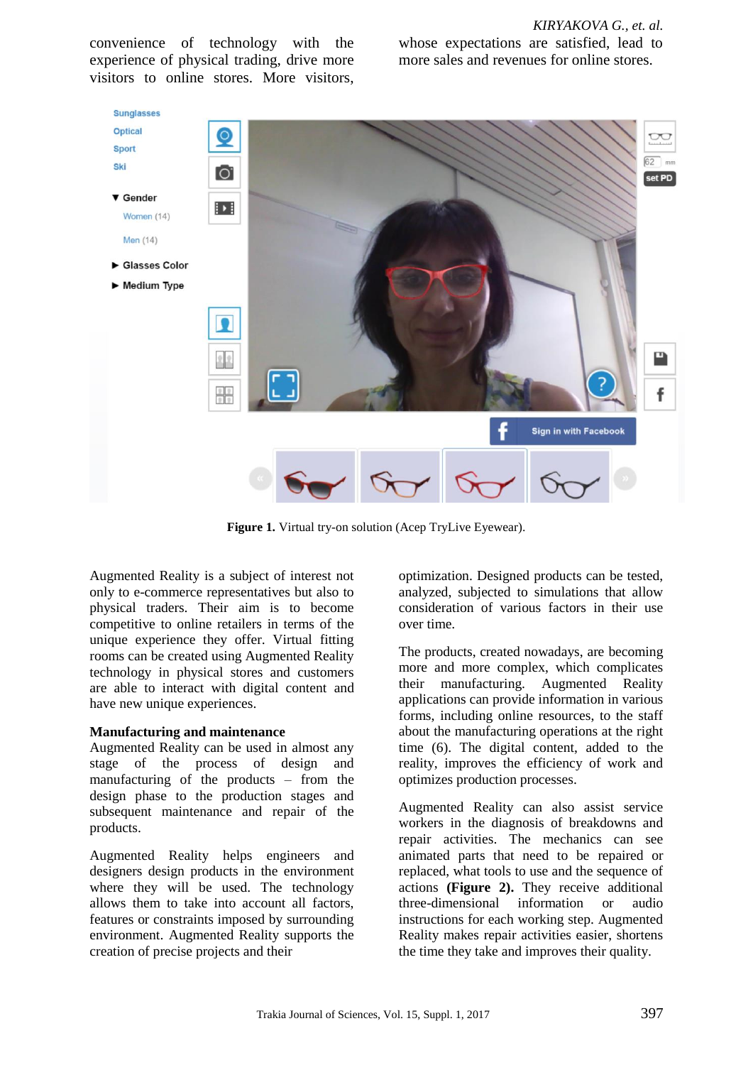convenience of technology with the experience of physical trading, drive more visitors to online stores. More visitors,

*KIRYAKOVA G., et. al.* whose expectations are satisfied, lead to more sales and revenues for online stores.



**Figure 1.** Virtual try-on solution (Acep TryLive Eyewear).

Augmented Reality is a subject of interest not only to e-commerce representatives but also to physical traders. Their aim is to become competitive to online retailers in terms of the unique experience they offer. Virtual fitting rooms can be created using Augmented Reality technology in physical stores and customers are able to interact with digital content and have new unique experiences.

#### **Manufacturing and maintenance**

Augmented Reality can be used in almost any stage of the process of design and manufacturing of the products – from the design phase to the production stages and subsequent maintenance and repair of the products.

Augmented Reality helps engineers and designers design products in the environment where they will be used. The technology allows them to take into account all factors, features or constraints imposed by surrounding environment. Augmented Reality supports the creation of precise projects and their

optimization. Designed products can be tested, analyzed, subjected to simulations that allow consideration of various factors in their use over time.

The products, created nowadays, are becoming more and more complex, which complicates their manufacturing. Augmented Reality applications can provide information in various forms, including online resources, to the staff about the manufacturing operations at the right time (6). The digital content, added to the reality, improves the efficiency of work and optimizes production processes.

Augmented Reality can also assist service workers in the diagnosis of breakdowns and repair activities. The mechanics can see animated parts that need to be repaired or replaced, what tools to use and the sequence of actions **(Figure 2).** They receive additional three-dimensional information or audio instructions for each working step. Augmented Reality makes repair activities easier, shortens the time they take and improves their quality.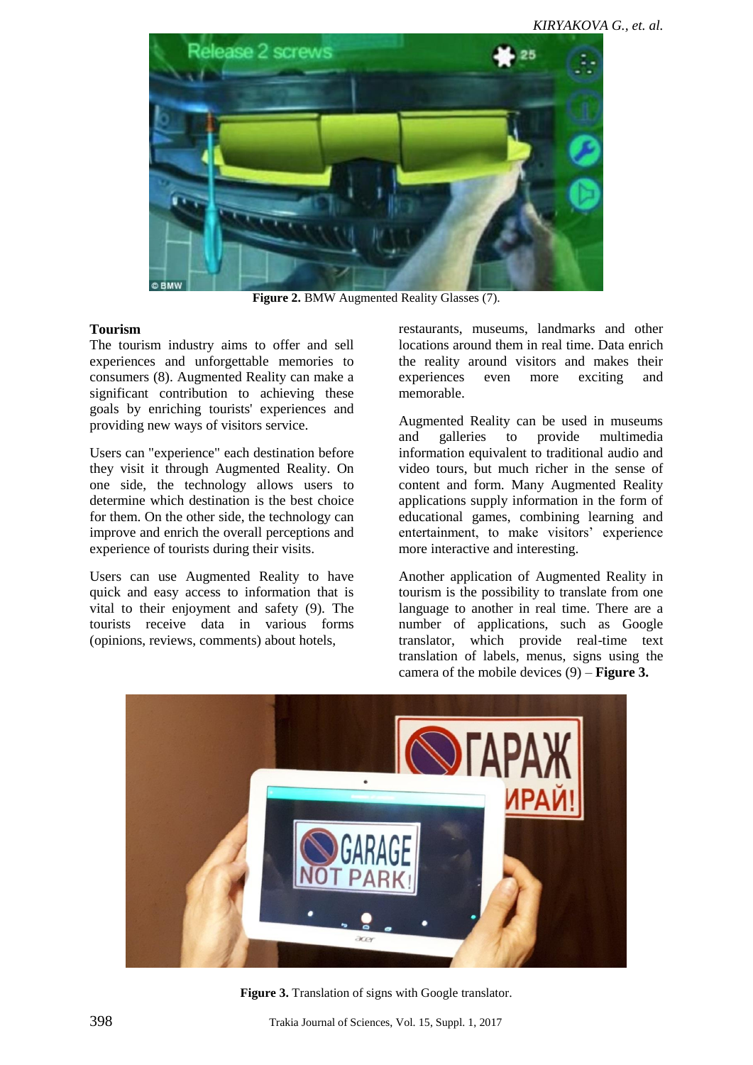

**Figure 2.** BMW Augmented Reality Glasses (7).

### **Tourism**

The tourism industry aims to offer and sell experiences and unforgettable memories to consumers (8). Augmented Reality can make a significant contribution to achieving these goals by enriching tourists' experiences and providing new ways of visitors service.

Users can "experience" each destination before they visit it through Augmented Reality. On one side, the technology allows users to determine which destination is the best choice for them. On the other side, the technology can improve and enrich the overall perceptions and experience of tourists during their visits.

Users can use Augmented Reality to have quick and easy access to information that is vital to their enjoyment and safety (9). The tourists receive data in various forms (opinions, reviews, comments) about hotels,

restaurants, museums, landmarks and other locations around them in real time. Data enrich the reality around visitors and makes their experiences even more exciting and memorable.

Augmented Reality can be used in museums and galleries to provide multimedia information equivalent to traditional audio and video tours, but much richer in the sense of content and form. Many Augmented Reality applications supply information in the form of educational games, combining learning and entertainment, to make visitors' experience more interactive and interesting.

Another application of Augmented Reality in tourism is the possibility to translate from one language to another in real time. There are a number of applications, such as Google translator, which provide real-time text translation of labels, menus, signs using the camera of the mobile devices (9) – **Figure 3.**



**Figure 3.** Translation of signs with Google translator.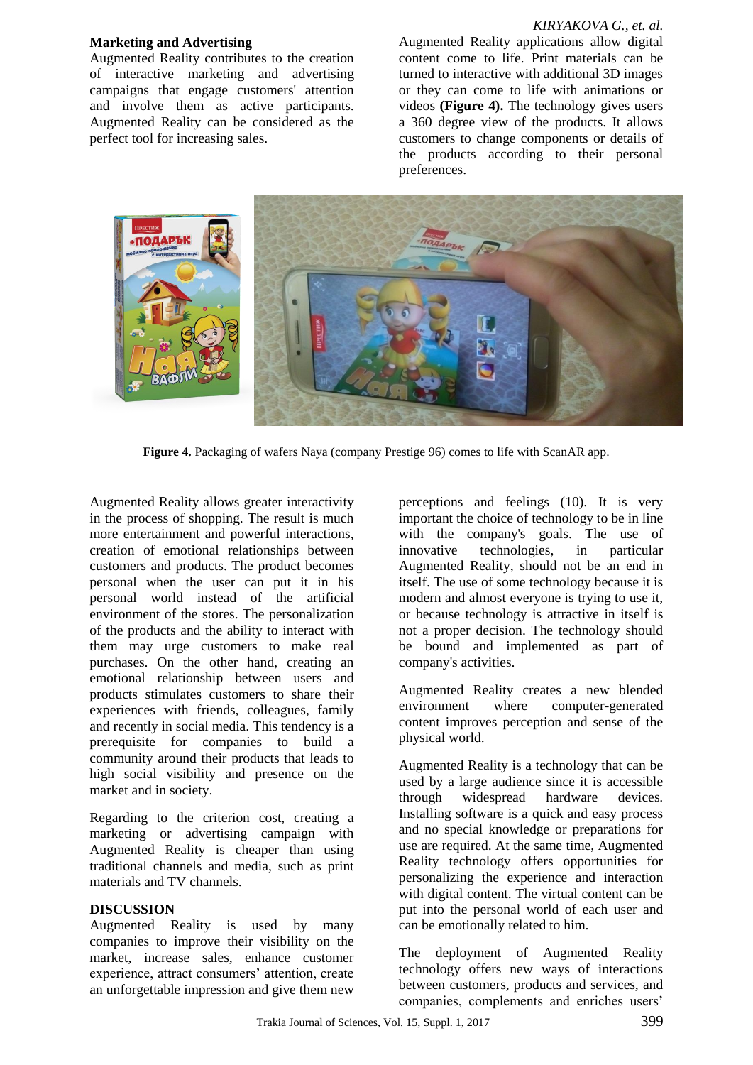#### **Marketing and Advertising**

Augmented Reality contributes to the creation of interactive marketing and advertising campaigns that engage customers' attention and involve them as active participants. Augmented Reality can be considered as the perfect tool for increasing sales.

#### *KIRYAKOVA G., et. al.*

Augmented Reality applications allow digital content come to life. Print materials can be turned to interactive with additional 3D images or they can come to life with animations or videos **(Figure 4).** The technology gives users a 360 degree view of the products. It allows customers to change components or details of the products according to their personal preferences.



**Figure 4.** Packaging of wafers Naya (company Prestige 96) comes to life with ScanAR app.

Augmented Reality allows greater interactivity in the process of shopping. The result is much more entertainment and powerful interactions, creation of emotional relationships between customers and products. The product becomes personal when the user can put it in his personal world instead of the artificial environment of the stores. The personalization of the products and the ability to interact with them may urge customers to make real purchases. On the other hand, creating an emotional relationship between users and products stimulates customers to share their experiences with friends, colleagues, family and recently in social media. This tendency is a prerequisite for companies to build a community around their products that leads to high social visibility and presence on the market and in society.

Regarding to the criterion cost, creating a marketing or advertising campaign with Augmented Reality is cheaper than using traditional channels and media, such as print materials and TV channels.

#### **DISCUSSION**

Augmented Reality is used by many companies to improve their visibility on the market, increase sales, enhance customer experience, attract consumers' attention, create an unforgettable impression and give them new

perceptions and feelings (10). It is very important the choice of technology to be in line with the company's goals. The use of innovative technologies, in particular Augmented Reality, should not be an end in itself. The use of some technology because it is modern and almost everyone is trying to use it, or because technology is attractive in itself is not a proper decision. The technology should be bound and implemented as part of company's activities.

Augmented Reality creates a new blended environment where computer-generated content improves perception and sense of the physical world.

Augmented Reality is a technology that can be used by a large audience since it is accessible through widespread hardware devices. Installing software is a quick and easy process and no special knowledge or preparations for use are required. At the same time, Augmented Reality technology offers opportunities for personalizing the experience and interaction with digital content. The virtual content can be put into the personal world of each user and can be emotionally related to him.

The deployment of Augmented Reality technology offers new ways of interactions between customers, products and services, and companies, complements and enriches users'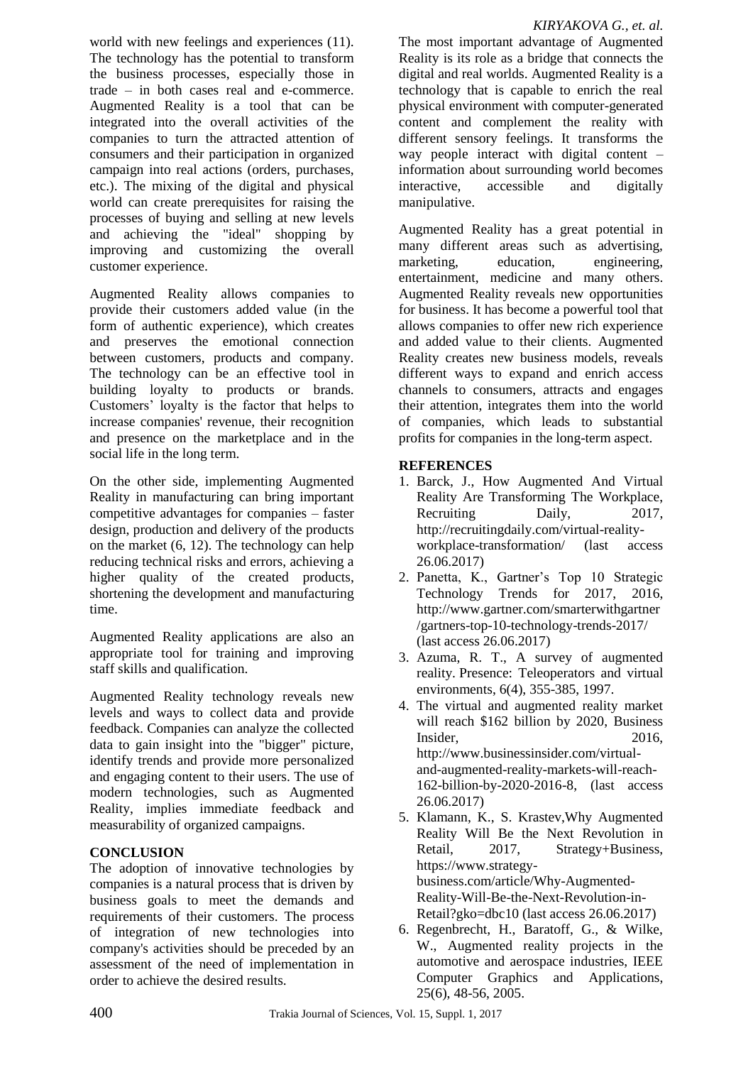world with new feelings and experiences (11). The technology has the potential to transform the business processes, especially those in trade – in both cases real and e-commerce. Augmented Reality is a tool that can be integrated into the overall activities of the companies to turn the attracted attention of consumers and their participation in organized campaign into real actions (orders, purchases, etc.). The mixing of the digital and physical world can create prerequisites for raising the processes of buying and selling at new levels and achieving the "ideal" shopping by improving and customizing the overall customer experience.

Augmented Reality allows companies to provide their customers added value (in the form of authentic experience), which creates and preserves the emotional connection between customers, products and company. The technology can be an effective tool in building loyalty to products or brands. Customers' loyalty is the factor that helps to increase companies' revenue, their recognition and presence on the marketplace and in the social life in the long term.

On the other side, implementing Augmented Reality in manufacturing can bring important competitive advantages for companies – faster design, production and delivery of the products on the market (6, 12). The technology can help reducing technical risks and errors, achieving a higher quality of the created products, shortening the development and manufacturing time.

Augmented Reality applications are also an appropriate tool for training and improving staff skills and qualification.

Augmented Reality technology reveals new levels and ways to collect data and provide feedback. Companies can analyze the collected data to gain insight into the "bigger" picture, identify trends and provide more personalized and engaging content to their users. The use of modern technologies, such as Augmented Reality, implies immediate feedback and measurability of organized campaigns.

### **CONCLUSION**

The adoption of innovative technologies by companies is a natural process that is driven by business goals to meet the demands and requirements of their customers. The process of integration of new technologies into company's activities should be preceded by an assessment of the need of implementation in order to achieve the desired results.

The most important advantage of Augmented Reality is its role as a bridge that connects the digital and real worlds. Augmented Reality is a technology that is capable to enrich the real physical environment with computer-generated content and complement the reality with different sensory feelings. It transforms the way people interact with digital content – information about surrounding world becomes interactive, accessible and digitally manipulative.

Augmented Reality has a great potential in many different areas such as advertising, marketing, education, engineering, entertainment, medicine and many others. Augmented Reality reveals new opportunities for business. It has become a powerful tool that allows companies to offer new rich experience and added value to their clients. Augmented Reality creates new business models, reveals different ways to expand and enrich access channels to consumers, attracts and engages their attention, integrates them into the world of companies, which leads to substantial profits for companies in the long-term aspect.

## **REFERENCES**

- 1. [Barck,](http://recruitingdaily.com/author/jonasbarck/) [J.](http://recruitingdaily.com/author/jonasbarck/), How Augmented And Virtual Reality Are Transforming The Workplace, Recruiting Daily, 2017, [http://recruitingdaily.com/virtual-reality](http://recruitingdaily.com/virtual-reality-workplace-transformation/)[workplace-transformation/](http://recruitingdaily.com/virtual-reality-workplace-transformation/) (last access 26.06.2017)
- 2. Panetta, K., Gartner's Top 10 Strategic Technology Trends for 2017, 2016, [http://www.gartner.com/smarterwithgartner](http://www.gartner.com/smarterwithgartner/gartners-top-10-technology-trends-2017/) [/gartners-top-10-technology-trends-2017/](http://www.gartner.com/smarterwithgartner/gartners-top-10-technology-trends-2017/) (last access 26.06.2017)
- 3. Azuma, R. T., A survey of augmented reality. Presence: Teleoperators and virtual environments, 6(4), 355-385, 1997.
- 4. The virtual and augmented reality market will reach \$162 billion by 2020, Business Insider, 2016, [http://www.businessinsider.com/virtual](http://www.businessinsider.com/virtual-and-augmented-reality-markets-will-reach-162-billion-by-2020-2016-8)[and-augmented-reality-markets-will-reach-](http://www.businessinsider.com/virtual-and-augmented-reality-markets-will-reach-162-billion-by-2020-2016-8)[162-billion-by-2020-2016-8,](http://www.businessinsider.com/virtual-and-augmented-reality-markets-will-reach-162-billion-by-2020-2016-8) (last access 26.06.2017)
- 5. Klamann, K., S. Krastev,Why Augmented Reality Will Be the Next Revolution in Retail, 2017, Strategy+Business, [https://www.strategy](https://www.strategy-business.com/article/Why-Augmented-Reality-Will-Be-the-Next-Revolution-in-Retail?gko=dbc10)[business.com/article/Why-Augmented-](https://www.strategy-business.com/article/Why-Augmented-Reality-Will-Be-the-Next-Revolution-in-Retail?gko=dbc10)[Reality-Will-Be-the-Next-Revolution-in-](https://www.strategy-business.com/article/Why-Augmented-Reality-Will-Be-the-Next-Revolution-in-Retail?gko=dbc10)[Retail?gko=dbc10](https://www.strategy-business.com/article/Why-Augmented-Reality-Will-Be-the-Next-Revolution-in-Retail?gko=dbc10) (last access 26.06.2017)
- 6. Regenbrecht, H., Baratoff, G., & Wilke, W., Augmented reality projects in the automotive and aerospace industries, IEEE Computer Graphics and Applications, 25(6), 48-56, 2005.